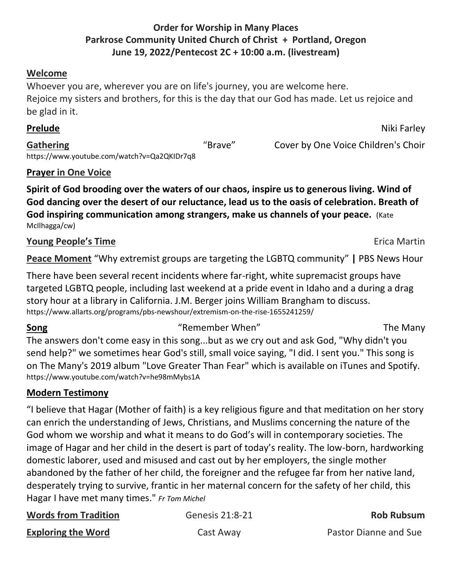#### **Order for Worship in Many Places Parkrose Community United Church of Christ + Portland, Oregon June 19, 2022/Pentecost 2C + 10:00 a.m. (livestream)**

#### **Welcome**

Whoever you are, wherever you are on life's journey, you are welcome here. Rejoice my sisters and brothers, for this is the day that our God has made. Let us rejoice and be glad in it.

**Prelude** Niki Farley

Gathering **Cathering Cover by One Voice Children's Choir Cover by One Voice Children's Choir** <https://www.youtube.com/watch?v=Qa2QKIDr7q8>

#### **Prayer in One Voice**

**Spirit of God brooding over the waters of our chaos, inspire us to generous living. Wind of God dancing over the desert of our reluctance, lead us to the oasis of celebration. Breath of God inspiring communication among strangers, make us channels of your peace.**(Kate McIlhagga/cw)

#### **Young People's Time** Erica Martin **Propriet State State Act 2018**

**Peace Moment** "Why extremist groups are targeting the LGBTQ community" **|** PBS News Hour

There have been several recent incidents where far-right, white supremacist groups have targeted LGBTQ people, including last weekend at a pride event in Idaho and a during a drag story hour at a library in California. J.M. Berger joins William Brangham to discuss. https://www.allarts.org/programs/pbs-newshour/extremism-on-the-rise-1655241259/

## **Song** The Many "Remember When" The Many

The answers don't come easy in this song...but as we cry out and ask God, "Why didn't you send help?" we sometimes hear God's still, small voice saying, "I did. I sent you." This song is on The Many's 2019 album "Love Greater Than Fear" which is available on iTunes and Spotify. https://www.youtube.com/watch?v=he98mMybs1A

## **Modern Testimony**

"I believe that Hagar (Mother of faith) is a key religious figure and that meditation on her story can enrich the understanding of Jews, Christians, and Muslims concerning the nature of the God whom we worship and what it means to do God's will in contemporary societies. The image of Hagar and her child in the desert is part of today's reality. The low-born, hardworking domestic laborer, used and misused and cast out by her employers, the single mother abandoned by the father of her child, the foreigner and the refugee far from her native land, desperately trying to survive, frantic in her maternal concern for the safety of her child, this Hagar I have met many times." *Fr Tom Michel*

| <b>Words from Tradition</b> | Genesis 21:8-21 | <b>Rob Rubsum</b>     |
|-----------------------------|-----------------|-----------------------|
| <b>Exploring the Word</b>   | Cast Away       | Pastor Dianne and Sue |